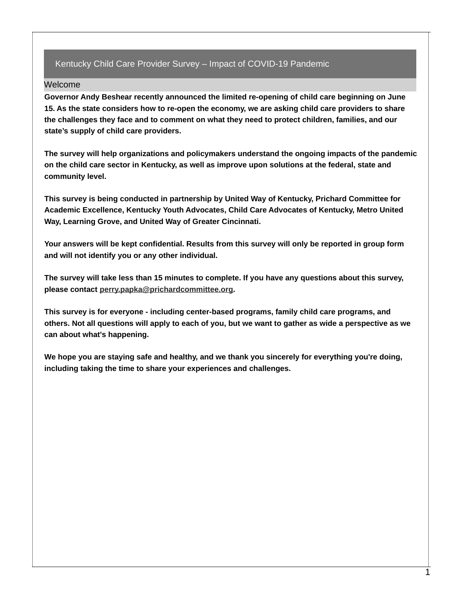## Kentucky Child Care Provider Survey – Impact of COVID-19 Pandemic

## Welcome

**Governor Andy Beshear recently announced the limited re-opening of child care beginning on June 15. As the state considers how to re-open the economy, we are asking child care providers to share the challenges they face and to comment on what they need to protect children, families, and our state's supply of child care providers.**

**The survey will help organizations and policymakers understand the ongoing impacts of the pandemic on the child care sector in Kentucky, as well as improve upon solutions at the federal, state and community level.**

**This survey is being conducted in partnership by United Way of Kentucky, Prichard Committee for Academic Excellence, Kentucky Youth Advocates, Child Care Advocates of Kentucky, Metro United Way, Learning Grove, and United Way of Greater Cincinnati.**

**Your answers will be kept confidential. Results from this survey will only be reported in group form and will not identify you or any other individual.**

The survey will take less than 15 minutes to complete. If you have any questions about this survey, **please contact [perry.papka@prichardcommittee.org](mailto:perry.papka@prichardcommittee.org).**

**This survey is for everyone - including center-based programs, family child care programs, and** others. Not all questions will apply to each of you, but we want to gather as wide a perspective as we **can about what's happening.**

**We hope you are staying safe and healthy, and we thank you sincerely for everything you're doing, including taking the time to share your experiences and challenges.**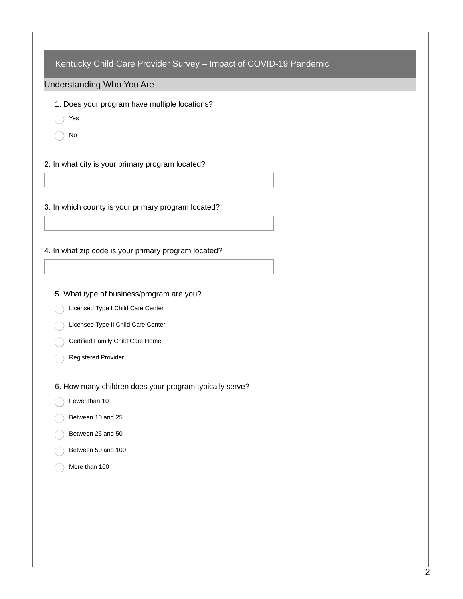| Kentucky Child Care Provider Survey - Impact of COVID-19 Pandemic |  |
|-------------------------------------------------------------------|--|
|                                                                   |  |
| Understanding Who You Are                                         |  |
| 1. Does your program have multiple locations?                     |  |
| Yes                                                               |  |
| No                                                                |  |
| 2. In what city is your primary program located?                  |  |
|                                                                   |  |
| 3. In which county is your primary program located?               |  |
|                                                                   |  |
|                                                                   |  |
| 4. In what zip code is your primary program located?              |  |
|                                                                   |  |
| 5. What type of business/program are you?                         |  |
| Licensed Type I Child Care Center                                 |  |
| Licensed Type II Child Care Center                                |  |
| Certified Family Child Care Home                                  |  |
| Registered Provider                                               |  |
|                                                                   |  |
| 6. How many children does your program typically serve?           |  |
| Fewer than 10                                                     |  |
| Between 10 and 25                                                 |  |
| Between 25 and 50                                                 |  |
| Between 50 and 100                                                |  |
| More than 100                                                     |  |
|                                                                   |  |
|                                                                   |  |
|                                                                   |  |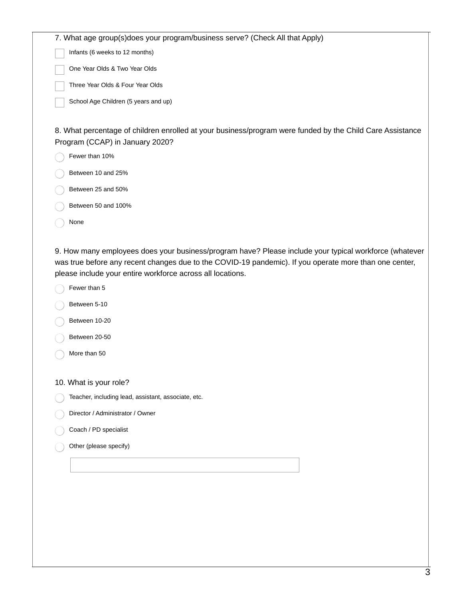Infants (6 weeks to 12 months)

One Year Olds & Two Year Olds

Three Year Olds & Four Year Olds

School Age Children (5 years and up)

8. What percentage of children enrolled at your business/program were funded by the Child Care Assistance Program (CCAP) in January 2020?

| Fewer than 10% |  |
|----------------|--|
|                |  |

- Between 10 and 25%
- Between 25 and 50%
- Between 50 and 100%
- None

9. How many employees does your business/program have? Please include your typical workforce (whatever was true before any recent changes due to the COVID-19 pandemic). If you operate more than one center, please include your entire workforce across all locations.

- Fewer than 5
- Between 5-10
- Between 10-20
- Between 20-50
- More than 50

10. What is your role?

- Teacher, including lead, assistant, associate, etc.
- Director / Administrator / Owner
- Coach / PD specialist
- Other (please specify)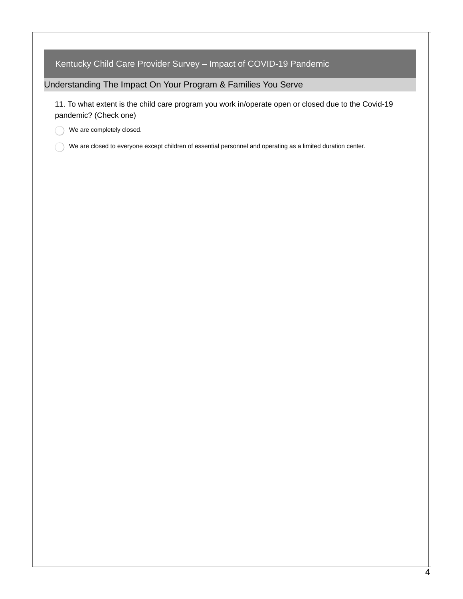Kentucky Child Care Provider Survey – Impact of COVID-19 Pandemic

Understanding The Impact On Your Program & Families You Serve

11. To what extent is the child care program you work in/operate open or closed due to the Covid-19 pandemic? (Check one)

We are completely closed. ∩

We are closed to everyone except children of essential personnel and operating as a limited duration center.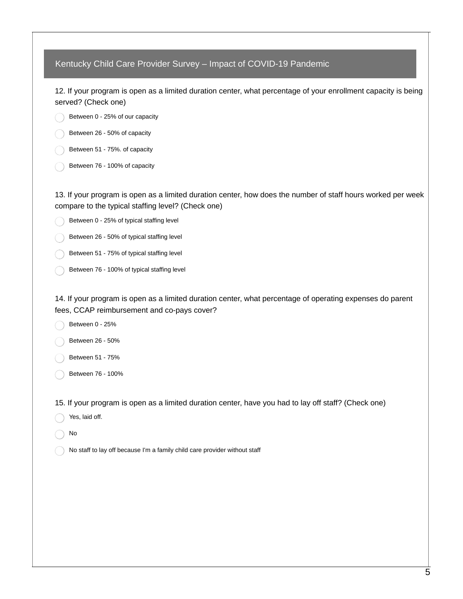Kentucky Child Care Provider Survey – Impact of COVID-19 Pandemic 12. If your program is open as a limited duration center, what percentage of your enrollment capacity is being served? (Check one) Between 0 - 25% of our capacity Between 26 - 50% of capacity Between 51 - 75%. of capacity Between 76 - 100% of capacity 13. If your program is open as a limited duration center, how does the number of staff hours worked per week compare to the typical staffing level? (Check one) Between 0 - 25% of typical staffing level Between 26 - 50% of typical staffing level Between 51 - 75% of typical staffing level Between 76 - 100% of typical staffing level 14. If your program is open as a limited duration center, what percentage of operating expenses do parent fees, CCAP reimbursement and co-pays cover? Between 0 - 25% Between 26 - 50% Between 51 - 75% Between 76 - 100% 15. If your program is open as a limited duration center, have you had to lay off staff? (Check one) Yes, laid off. No No staff to lay off because I'm a family child care provider without staff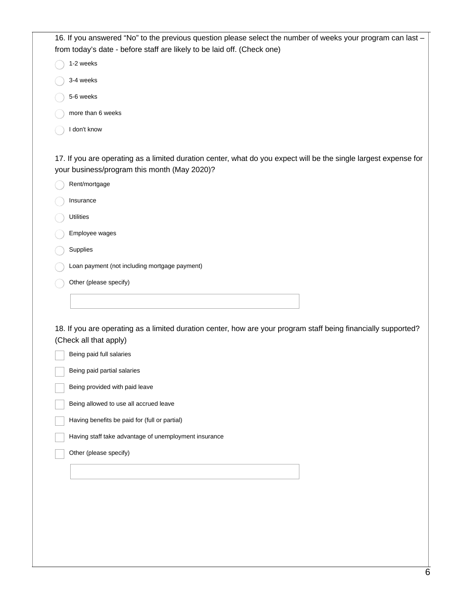| 16. If you answered "No" to the previous question please select the number of weeks your program can last – |
|-------------------------------------------------------------------------------------------------------------|
| from today's date - before staff are likely to be laid off. (Check one)                                     |

1-2 weeks

- 3-4 weeks
- 5-6 weeks
- more than 6 weeks
- I don't know  $\subset$

17. If you are operating as a limited duration center, what do you expect will be the single largest expense for your business/program this month (May 2020)?

| Rent/mortgage                                                      |
|--------------------------------------------------------------------|
| Insurance                                                          |
| <b>Utilities</b>                                                   |
| Employee wages                                                     |
| Supplies                                                           |
| Loan payment (not including mortgage payment)                      |
| Other (please specify)                                             |
|                                                                    |
|                                                                    |
| 18. If you are operating as a limited duration center, how are you |
|                                                                    |

ur program staff being financially supported? (Check all that apply)

| Being paid full salaries                              |
|-------------------------------------------------------|
| Being paid partial salaries                           |
| Being provided with paid leave                        |
| Being allowed to use all accrued leave                |
| Having benefits be paid for (full or partial)         |
| Having staff take advantage of unemployment insurance |
| Other (please specify)                                |
|                                                       |
|                                                       |
|                                                       |
|                                                       |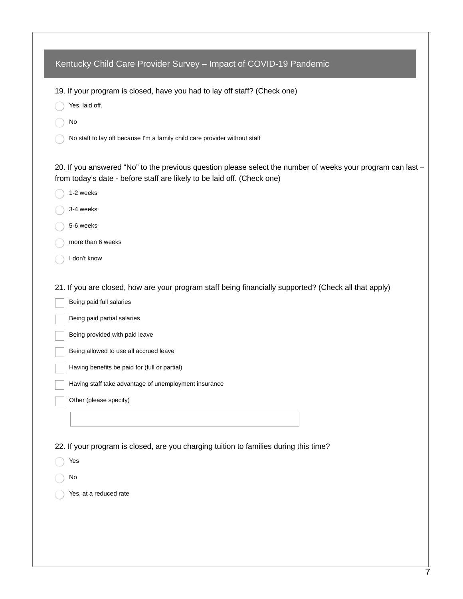| 19. If your program is closed, have you had to lay off staff? (Check one)                                                                                                              |
|----------------------------------------------------------------------------------------------------------------------------------------------------------------------------------------|
| Yes, laid off.                                                                                                                                                                         |
| No                                                                                                                                                                                     |
| No staff to lay off because I'm a family child care provider without staff                                                                                                             |
| 20. If you answered "No" to the previous question please select the number of weeks your program can last -<br>from today's date - before staff are likely to be laid off. (Check one) |
| 1-2 weeks                                                                                                                                                                              |
| 3-4 weeks                                                                                                                                                                              |
| 5-6 weeks                                                                                                                                                                              |
| more than 6 weeks                                                                                                                                                                      |
| I don't know                                                                                                                                                                           |
| 21. If you are closed, how are your program staff being financially supported? (Check all that apply)                                                                                  |
| Being paid full salaries                                                                                                                                                               |
| Being paid partial salaries                                                                                                                                                            |
| Being provided with paid leave                                                                                                                                                         |
| Being allowed to use all accrued leave                                                                                                                                                 |
| Having benefits be paid for (full or partial)                                                                                                                                          |
| Having staff take advantage of unemployment insurance                                                                                                                                  |
| Other (please specify)                                                                                                                                                                 |
|                                                                                                                                                                                        |
| 22. If your program is closed, are you charging tuition to families during this time?                                                                                                  |
| Yes                                                                                                                                                                                    |
| No                                                                                                                                                                                     |
| Yes, at a reduced rate                                                                                                                                                                 |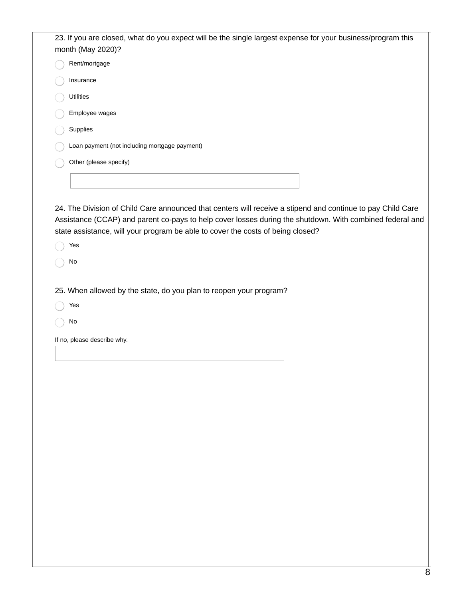| 23. If you are closed, what do you expect will be the single largest expense for your business/program this<br>month (May 2020)?                                                            |  |
|---------------------------------------------------------------------------------------------------------------------------------------------------------------------------------------------|--|
| Rent/mortgage                                                                                                                                                                               |  |
| Insurance                                                                                                                                                                                   |  |
| Utilities                                                                                                                                                                                   |  |
| Employee wages                                                                                                                                                                              |  |
| Supplies                                                                                                                                                                                    |  |
| Loan payment (not including mortgage payment)                                                                                                                                               |  |
| Other (please specify)                                                                                                                                                                      |  |
|                                                                                                                                                                                             |  |
|                                                                                                                                                                                             |  |
| 24. The Division of Child Care announced that centers will receive a stipend and continue to pay Child Care                                                                                 |  |
| Assistance (CCAP) and parent co-pays to help cover losses during the shutdown. With combined federal and<br>state assistance, will your program be able to cover the costs of being closed? |  |
| Yes                                                                                                                                                                                         |  |
| No                                                                                                                                                                                          |  |
|                                                                                                                                                                                             |  |
| 25. When allowed by the state, do you plan to reopen your program?                                                                                                                          |  |
| Yes                                                                                                                                                                                         |  |
| No                                                                                                                                                                                          |  |
| If no, please describe why.                                                                                                                                                                 |  |
|                                                                                                                                                                                             |  |
|                                                                                                                                                                                             |  |
|                                                                                                                                                                                             |  |
|                                                                                                                                                                                             |  |
|                                                                                                                                                                                             |  |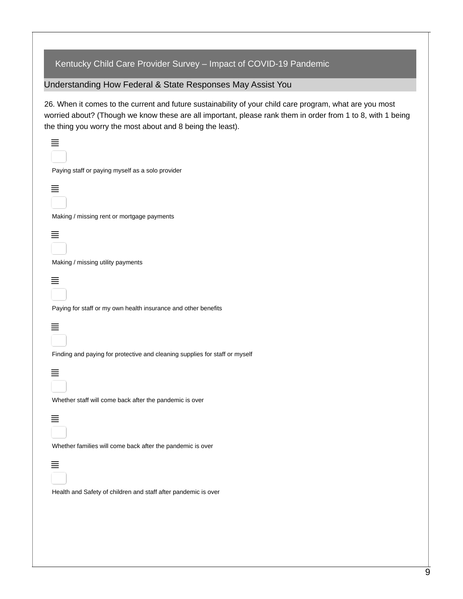## Kentucky Child Care Provider Survey – Impact of COVID-19 Pandemic

Understanding How Federal & State Responses May Assist You

 $=$ 

26. When it comes to the current and future sustainability of your child care program, what are you most worried about? (Though we know these are all important, please rank them in order from 1 to 8, with 1 being the thing you worry the most about and 8 being the least).

| Paying staff or paying myself as a solo provider                            |
|-----------------------------------------------------------------------------|
|                                                                             |
| Making / missing rent or mortgage payments                                  |
|                                                                             |
| Making / missing utility payments                                           |
| Paying for staff or my own health insurance and other benefits              |
|                                                                             |
| Finding and paying for protective and cleaning supplies for staff or myself |
| Whether staff will come back after the pandemic is over                     |
|                                                                             |
| Whether families will come back after the pandemic is over                  |
|                                                                             |
| Health and Safety of children and staff after pandemic is over              |
|                                                                             |